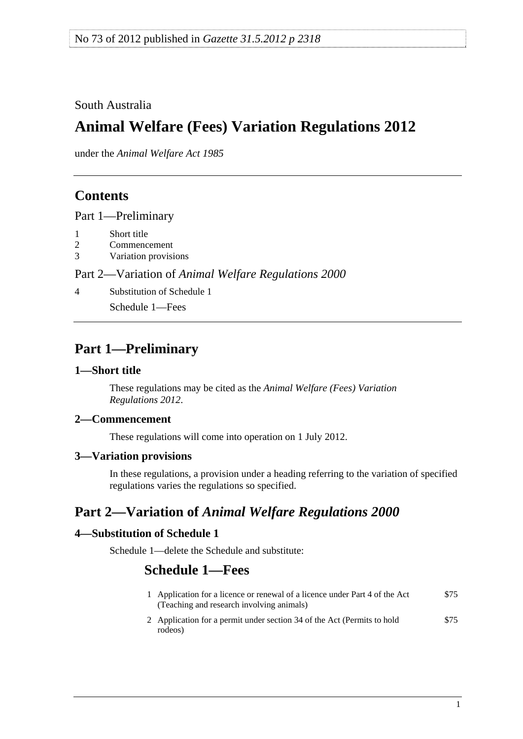### <span id="page-0-0"></span>South Australia

# **Animal Welfare (Fees) Variation Regulations 2012**

under the *Animal Welfare Act 1985*

### **Contents**

[Part 1—Preliminary](#page-0-0)

- [1 Short title](#page-0-0)
- [2 Commencement](#page-0-0)
- [3 Variation provisions](#page-0-0)

#### Part 2—Variation of *[Animal Welfare Regulations 2000](#page-0-0)*

[4 Substitution of Schedule 1](#page-0-0)

[Schedule 1—Fees](#page-0-0) 

## **Part 1—Preliminary**

#### **1—Short title**

These regulations may be cited as the *Animal Welfare (Fees) Variation Regulations 2012*.

#### **2—Commencement**

These regulations will come into operation on 1 July 2012.

#### **3—Variation provisions**

In these regulations, a provision under a heading referring to the variation of specified regulations varies the regulations so specified.

## **Part 2—Variation of** *Animal Welfare Regulations 2000*

#### **4—Substitution of Schedule 1**

Schedule 1—delete the Schedule and substitute:

# **Schedule 1—Fees**

| 1 Application for a licence or renewal of a licence under Part 4 of the Act<br>(Teaching and research involving animals) | \$75 |
|--------------------------------------------------------------------------------------------------------------------------|------|
| 2 Application for a permit under section 34 of the Act (Permits to hold<br>rodeos)                                       | \$75 |